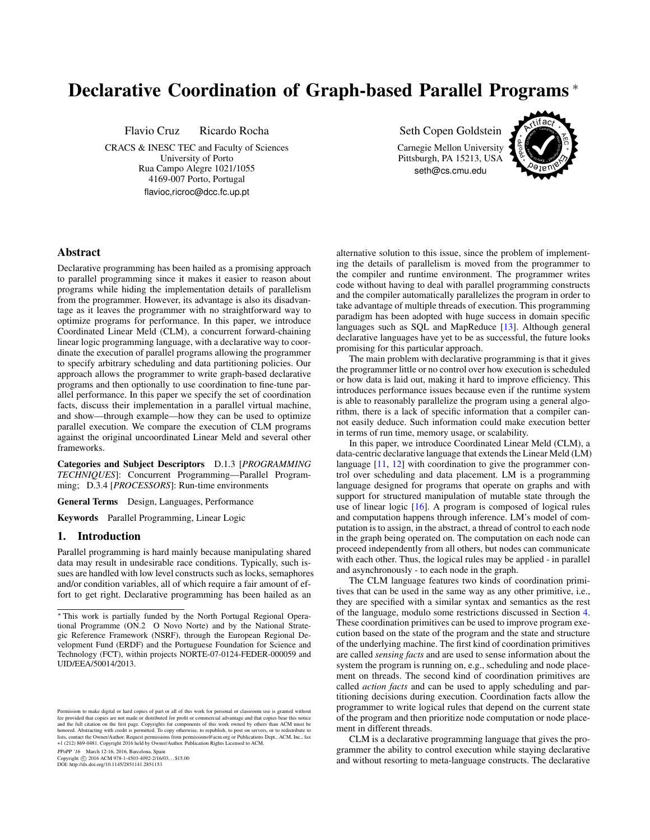# Declarative Coordination of Graph-based Parallel Programs <sup>∗</sup>

Flavio Cruz Ricardo Rocha

CRACS & INESC TEC and Faculty of Sciences University of Porto Rua Campo Alegre 1021/1055 4169-007 Porto, Portugal flavioc,ricroc@dcc.fc.up.pt

Seth Copen Goldstein Carnegie Mellon University Pittsburgh, PA 15213, USA seth@cs.cmu.edu



# Abstract

Declarative programming has been hailed as a promising approach to parallel programming since it makes it easier to reason about programs while hiding the implementation details of parallelism from the programmer. However, its advantage is also its disadvantage as it leaves the programmer with no straightforward way to optimize programs for performance. In this paper, we introduce Coordinated Linear Meld (CLM), a concurrent forward-chaining linear logic programming language, with a declarative way to coordinate the execution of parallel programs allowing the programmer to specify arbitrary scheduling and data partitioning policies. Our approach allows the programmer to write graph-based declarative programs and then optionally to use coordination to fine-tune parallel performance. In this paper we specify the set of coordination facts, discuss their implementation in a parallel virtual machine, and show—through example—how they can be used to optimize parallel execution. We compare the execution of CLM programs against the original uncoordinated Linear Meld and several other frameworks.

Categories and Subject Descriptors D.1.3 [*PROGRAMMING TECHNIQUES*]: Concurrent Programming—Parallel Programming; D.3.4 [*PROCESSORS*]: Run-time environments

General Terms Design, Languages, Performance

Keywords Parallel Programming, Linear Logic

## 1. Introduction

Parallel programming is hard mainly because manipulating shared data may result in undesirable race conditions. Typically, such issues are handled with low level constructs such as locks, semaphores and/or condition variables, all of which require a fair amount of effort to get right. Declarative programming has been hailed as an

PPoPP '16 March 12-16, 2016, Barcelona, Spain

Copyright © 2016 ACM 978-1-4503-4092-2/16/03...\$15.00<br>DOI: http://dx.doi.org/10.1145/2851141.2851153

alternative solution to this issue, since the problem of implementing the details of parallelism is moved from the programmer to the compiler and runtime environment. The programmer writes code without having to deal with parallel programming constructs and the compiler automatically parallelizes the program in order to take advantage of multiple threads of execution. This programming paradigm has been adopted with huge success in domain specific languages such as SQL and MapReduce [\[13\]](#page-10-0). Although general declarative languages have yet to be as successful, the future looks promising for this particular approach.

The main problem with declarative programming is that it gives the programmer little or no control over how execution is scheduled or how data is laid out, making it hard to improve efficiency. This introduces performance issues because even if the runtime system is able to reasonably parallelize the program using a general algorithm, there is a lack of specific information that a compiler cannot easily deduce. Such information could make execution better in terms of run time, memory usage, or scalability.

In this paper, we introduce Coordinated Linear Meld (CLM), a data-centric declarative language that extends the Linear Meld (LM) language [\[11,](#page-10-1) [12\]](#page-10-2) with coordination to give the programmer control over scheduling and data placement. LM is a programming language designed for programs that operate on graphs and with support for structured manipulation of mutable state through the use of linear logic [\[16\]](#page-11-0). A program is composed of logical rules and computation happens through inference. LM's model of computation is to assign, in the abstract, a thread of control to each node in the graph being operated on. The computation on each node can proceed independently from all others, but nodes can communicate with each other. Thus, the logical rules may be applied - in parallel and asynchronously - to each node in the graph.

The CLM language features two kinds of coordination primitives that can be used in the same way as any other primitive, i.e., they are specified with a similar syntax and semantics as the rest of the language, modulo some restrictions discussed in Section [4.](#page-3-0) These coordination primitives can be used to improve program execution based on the state of the program and the state and structure of the underlying machine. The first kind of coordination primitives are called *sensing facts* and are used to sense information about the system the program is running on, e.g., scheduling and node placement on threads. The second kind of coordination primitives are called *action facts* and can be used to apply scheduling and partitioning decisions during execution. Coordination facts allow the programmer to write logical rules that depend on the current state of the program and then prioritize node computation or node placement in different threads.

CLM is a declarative programming language that gives the programmer the ability to control execution while staying declarative and without resorting to meta-language constructs. The declarative

<sup>∗</sup> This work is partially funded by the North Portugal Regional Operational Programme (ON.2 O Novo Norte) and by the National Strategic Reference Framework (NSRF), through the European Regional Development Fund (ERDF) and the Portuguese Foundation for Science and Technology (FCT), within projects NORTE-07-0124-FEDER-000059 and UID/EEA/50014/2013.

Permission to make digital or hard copies of part or all of this work for personal or classroom use is granted without fee provided that copies are not made or distributed for profit or commercial advantage and that copies bear this notice<br>and the full citation on the first page. Copyrights for components of this work owned by others than +1 (212) 869-0481. Copyright 2016 held by Owner/Author. Publication Rights Licensed to ACM.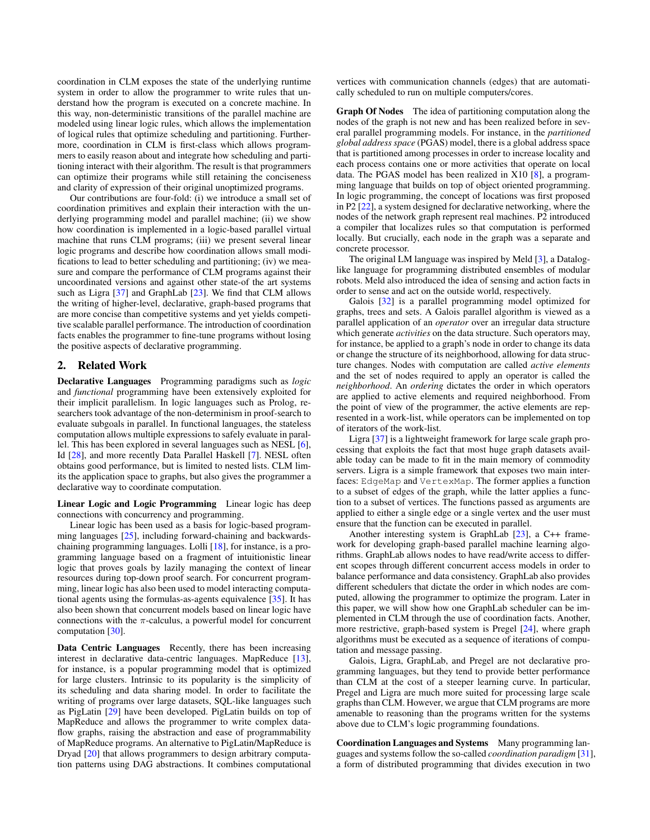coordination in CLM exposes the state of the underlying runtime system in order to allow the programmer to write rules that understand how the program is executed on a concrete machine. In this way, non-deterministic transitions of the parallel machine are modeled using linear logic rules, which allows the implementation of logical rules that optimize scheduling and partitioning. Furthermore, coordination in CLM is first-class which allows programmers to easily reason about and integrate how scheduling and partitioning interact with their algorithm. The result is that programmers can optimize their programs while still retaining the conciseness and clarity of expression of their original unoptimized programs.

Our contributions are four-fold: (i) we introduce a small set of coordination primitives and explain their interaction with the underlying programming model and parallel machine; (ii) we show how coordination is implemented in a logic-based parallel virtual machine that runs CLM programs; (iii) we present several linear logic programs and describe how coordination allows small modifications to lead to better scheduling and partitioning; (iv) we measure and compare the performance of CLM programs against their uncoordinated versions and against other state-of the art systems such as Ligra [\[37\]](#page-11-1) and GraphLab [\[23\]](#page-11-2). We find that CLM allows the writing of higher-level, declarative, graph-based programs that are more concise than competitive systems and yet yields competitive scalable parallel performance. The introduction of coordination facts enables the programmer to fine-tune programs without losing the positive aspects of declarative programming.

## 2. Related Work

Declarative Languages Programming paradigms such as *logic* and *functional* programming have been extensively exploited for their implicit parallelism. In logic languages such as Prolog, researchers took advantage of the non-determinism in proof-search to evaluate subgoals in parallel. In functional languages, the stateless computation allows multiple expressions to safely evaluate in parallel. This has been explored in several languages such as NESL [\[6\]](#page-10-3), Id [\[28\]](#page-11-3), and more recently Data Parallel Haskell [\[7\]](#page-10-4). NESL often obtains good performance, but is limited to nested lists. CLM limits the application space to graphs, but also gives the programmer a declarative way to coordinate computation.

Linear Logic and Logic Programming Linear logic has deep connections with concurrency and programming.

Linear logic has been used as a basis for logic-based programming languages [\[25\]](#page-11-4), including forward-chaining and backwardschaining programming languages. Lolli [\[18\]](#page-11-5), for instance, is a programming language based on a fragment of intuitionistic linear logic that proves goals by lazily managing the context of linear resources during top-down proof search. For concurrent programming, linear logic has also been used to model interacting computational agents using the formulas-as-agents equivalence [\[35\]](#page-11-6). It has also been shown that concurrent models based on linear logic have connections with the  $\pi$ -calculus, a powerful model for concurrent computation [\[30\]](#page-11-7).

Data Centric Languages Recently, there has been increasing interest in declarative data-centric languages. MapReduce [\[13\]](#page-10-0), for instance, is a popular programming model that is optimized for large clusters. Intrinsic to its popularity is the simplicity of its scheduling and data sharing model. In order to facilitate the writing of programs over large datasets, SQL-like languages such as PigLatin [\[29\]](#page-11-8) have been developed. PigLatin builds on top of MapReduce and allows the programmer to write complex dataflow graphs, raising the abstraction and ease of programmability of MapReduce programs. An alternative to PigLatin/MapReduce is Dryad [\[20\]](#page-11-9) that allows programmers to design arbitrary computation patterns using DAG abstractions. It combines computational

vertices with communication channels (edges) that are automatically scheduled to run on multiple computers/cores.

Graph Of Nodes The idea of partitioning computation along the nodes of the graph is not new and has been realized before in several parallel programming models. For instance, in the *partitioned global address space* (PGAS) model, there is a global address space that is partitioned among processes in order to increase locality and each process contains one or more activities that operate on local data. The PGAS model has been realized in X10 [\[8\]](#page-10-5), a programming language that builds on top of object oriented programming. In logic programming, the concept of locations was first proposed in P2 [\[22\]](#page-11-10), a system designed for declarative networking, where the nodes of the network graph represent real machines. P2 introduced a compiler that localizes rules so that computation is performed locally. But crucially, each node in the graph was a separate and concrete processor.

The original LM language was inspired by Meld [\[3\]](#page-10-6), a Dataloglike language for programming distributed ensembles of modular robots. Meld also introduced the idea of sensing and action facts in order to sense and act on the outside world, respectively.

Galois [\[32\]](#page-11-11) is a parallel programming model optimized for graphs, trees and sets. A Galois parallel algorithm is viewed as a parallel application of an *operator* over an irregular data structure which generate *activities* on the data structure. Such operators may, for instance, be applied to a graph's node in order to change its data or change the structure of its neighborhood, allowing for data structure changes. Nodes with computation are called *active elements* and the set of nodes required to apply an operator is called the *neighborhood*. An *ordering* dictates the order in which operators are applied to active elements and required neighborhood. From the point of view of the programmer, the active elements are represented in a work-list, while operators can be implemented on top of iterators of the work-list.

Ligra [\[37\]](#page-11-1) is a lightweight framework for large scale graph processing that exploits the fact that most huge graph datasets available today can be made to fit in the main memory of commodity servers. Ligra is a simple framework that exposes two main interfaces: EdgeMap and VertexMap. The former applies a function to a subset of edges of the graph, while the latter applies a function to a subset of vertices. The functions passed as arguments are applied to either a single edge or a single vertex and the user must ensure that the function can be executed in parallel.

Another interesting system is GraphLab [\[23\]](#page-11-2), a C++ framework for developing graph-based parallel machine learning algorithms. GraphLab allows nodes to have read/write access to different scopes through different concurrent access models in order to balance performance and data consistency. GraphLab also provides different schedulers that dictate the order in which nodes are computed, allowing the programmer to optimize the program. Later in this paper, we will show how one GraphLab scheduler can be implemented in CLM through the use of coordination facts. Another, more restrictive, graph-based system is Pregel [\[24\]](#page-11-12), where graph algorithms must be executed as a sequence of iterations of computation and message passing.

Galois, Ligra, GraphLab, and Pregel are not declarative programming languages, but they tend to provide better performance than CLM at the cost of a steeper learning curve. In particular, Pregel and Ligra are much more suited for processing large scale graphs than CLM. However, we argue that CLM programs are more amenable to reasoning than the programs written for the systems above due to CLM's logic programming foundations.

Coordination Languages and Systems Many programming languages and systems follow the so-called *coordination paradigm* [\[31\]](#page-11-13), a form of distributed programming that divides execution in two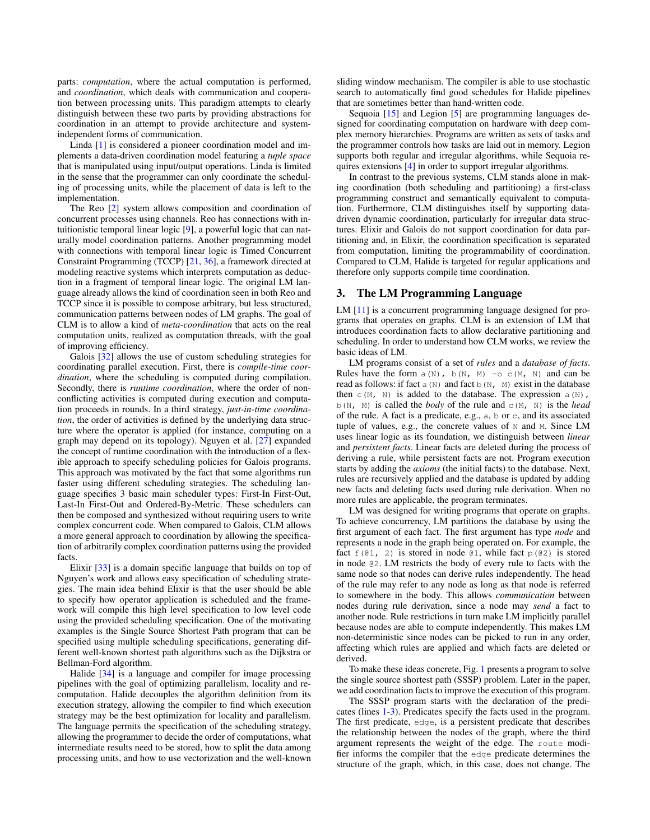parts: *computation*, where the actual computation is performed, and *coordination*, which deals with communication and cooperation between processing units. This paradigm attempts to clearly distinguish between these two parts by providing abstractions for coordination in an attempt to provide architecture and systemindependent forms of communication.

Linda [\[1\]](#page-10-7) is considered a pioneer coordination model and implements a data-driven coordination model featuring a *tuple space* that is manipulated using input/output operations. Linda is limited in the sense that the programmer can only coordinate the scheduling of processing units, while the placement of data is left to the implementation.

The Reo [\[2\]](#page-10-8) system allows composition and coordination of concurrent processes using channels. Reo has connections with intuitionistic temporal linear logic [\[9\]](#page-10-9), a powerful logic that can naturally model coordination patterns. Another programming model with connections with temporal linear logic is Timed Concurrent Constraint Programming (TCCP) [\[21,](#page-11-14) [36\]](#page-11-15), a framework directed at modeling reactive systems which interprets computation as deduction in a fragment of temporal linear logic. The original LM language already allows the kind of coordination seen in both Reo and TCCP since it is possible to compose arbitrary, but less structured, communication patterns between nodes of LM graphs. The goal of CLM is to allow a kind of *meta-coordination* that acts on the real computation units, realized as computation threads, with the goal of improving efficiency.

Galois [\[32\]](#page-11-11) allows the use of custom scheduling strategies for coordinating parallel execution. First, there is *compile-time coordination*, where the scheduling is computed during compilation. Secondly, there is *runtime coordination*, where the order of nonconflicting activities is computed during execution and computation proceeds in rounds. In a third strategy, *just-in-time coordination*, the order of activities is defined by the underlying data structure where the operator is applied (for instance, computing on a graph may depend on its topology). Nguyen et al. [\[27\]](#page-11-16) expanded the concept of runtime coordination with the introduction of a flexible approach to specify scheduling policies for Galois programs. This approach was motivated by the fact that some algorithms run faster using different scheduling strategies. The scheduling language specifies 3 basic main scheduler types: First-In First-Out, Last-In First-Out and Ordered-By-Metric. These schedulers can then be composed and synthesized without requiring users to write complex concurrent code. When compared to Galois, CLM allows a more general approach to coordination by allowing the specification of arbitrarily complex coordination patterns using the provided facts.

Elixir [\[33\]](#page-11-17) is a domain specific language that builds on top of Nguyen's work and allows easy specification of scheduling strategies. The main idea behind Elixir is that the user should be able to specify how operator application is scheduled and the framework will compile this high level specification to low level code using the provided scheduling specification. One of the motivating examples is the Single Source Shortest Path program that can be specified using multiple scheduling specifications, generating different well-known shortest path algorithms such as the Dijkstra or Bellman-Ford algorithm.

Halide [\[34\]](#page-11-18) is a language and compiler for image processing pipelines with the goal of optimizing parallelism, locality and recomputation. Halide decouples the algorithm definition from its execution strategy, allowing the compiler to find which execution strategy may be the best optimization for locality and parallelism. The language permits the specification of the scheduling strategy, allowing the programmer to decide the order of computations, what intermediate results need to be stored, how to split the data among processing units, and how to use vectorization and the well-known sliding window mechanism. The compiler is able to use stochastic search to automatically find good schedules for Halide pipelines that are sometimes better than hand-written code.

Sequoia [\[15\]](#page-11-19) and Legion [\[5\]](#page-10-10) are programming languages designed for coordinating computation on hardware with deep complex memory hierarchies. Programs are written as sets of tasks and the programmer controls how tasks are laid out in memory. Legion supports both regular and irregular algorithms, while Sequoia requires extensions [\[4\]](#page-10-11) in order to support irregular algorithms.

In contrast to the previous systems, CLM stands alone in making coordination (both scheduling and partitioning) a first-class programming construct and semantically equivalent to computation. Furthermore, CLM distinguishes itself by supporting datadriven dynamic coordination, particularly for irregular data structures. Elixir and Galois do not support coordination for data partitioning and, in Elixir, the coordination specification is separated from computation, limiting the programmability of coordination. Compared to CLM, Halide is targeted for regular applications and therefore only supports compile time coordination.

## 3. The LM Programming Language

LM [\[11\]](#page-10-1) is a concurrent programming language designed for programs that operates on graphs. CLM is an extension of LM that introduces coordination facts to allow declarative partitioning and scheduling. In order to understand how CLM works, we review the basic ideas of LM.

LM programs consist of a set of *rules* and a *database of facts*. Rules have the form  $a(N)$ ,  $b(N, M)$  -o c(M, N) and can be read as follows: if fact  $\alpha(N)$  and fact  $\beta(N, M)$  exist in the database then  $c(M, N)$  is added to the database. The expression  $a(N)$ , b(N, M) is called the *body* of the rule and c(M, N) is the *head* of the rule. A fact is a predicate, e.g., a, b or c, and its associated tuple of values, e.g., the concrete values of N and M. Since LM uses linear logic as its foundation, we distinguish between *linear* and *persistent facts*. Linear facts are deleted during the process of deriving a rule, while persistent facts are not. Program execution starts by adding the *axioms* (the initial facts) to the database. Next, rules are recursively applied and the database is updated by adding new facts and deleting facts used during rule derivation. When no more rules are applicable, the program terminates.

LM was designed for writing programs that operate on graphs. To achieve concurrency, LM partitions the database by using the first argument of each fact. The first argument has type *node* and represents a node in the graph being operated on. For example, the fact  $f(\mathfrak{e}_1, 2)$  is stored in node  $\mathfrak{e}_1$ , while fact  $p(\mathfrak{e}_2)$  is stored in node @2. LM restricts the body of every rule to facts with the same node so that nodes can derive rules independently. The head of the rule may refer to any node as long as that node is referred to somewhere in the body. This allows *communication* between nodes during rule derivation, since a node may *send* a fact to another node. Rule restrictions in turn make LM implicitly parallel because nodes are able to compute independently. This makes LM non-deterministic since nodes can be picked to run in any order, affecting which rules are applied and which facts are deleted or derived.

To make these ideas concrete, Fig. [1](#page-3-1) presents a program to solve the single source shortest path (SSSP) problem. Later in the paper, we add coordination facts to improve the execution of this program.

The SSSP program starts with the declaration of the predicates (lines [1-3\)](#page-3-1). Predicates specify the facts used in the program. The first predicate, edge, is a persistent predicate that describes the relationship between the nodes of the graph, where the third argument represents the weight of the edge. The route modifier informs the compiler that the edge predicate determines the structure of the graph, which, in this case, does not change. The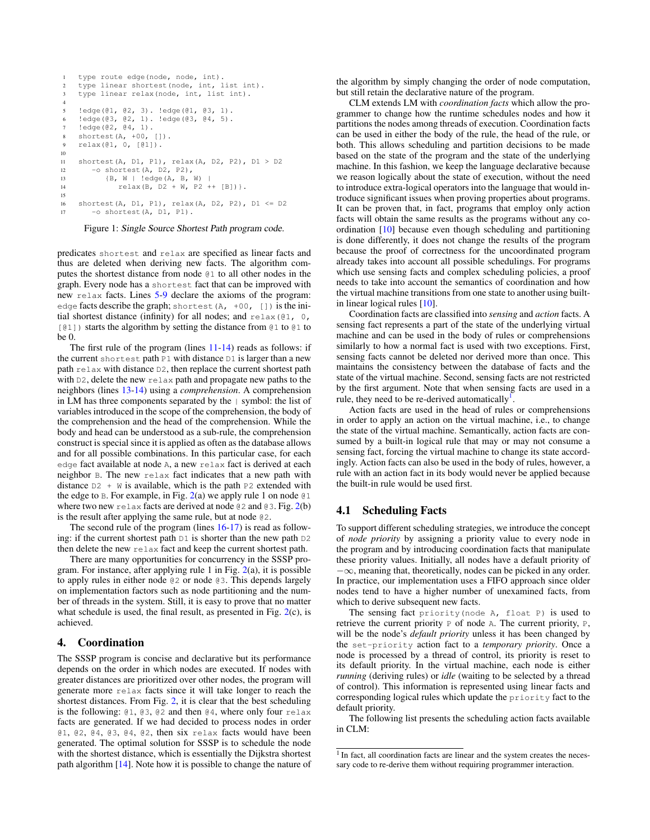```
1 type route edge(node, node, int).
2 type linear shortest(node, int, list int).
3 type linear relax(node, int, list int).
4
5 !edge(@1, @2, 3). !edge(@1, @3, 1).
6 !edge(@3, @2, 1). !edge(@3, @4, 5).
7 !edge(@2, @4, 1).
8 shortest(A, +00, []).
9 relax(@1, 0, [@1]).
10
11 shortest(A, D1, P1), relax(A, D2, P2), D1 > D2
12 -o shortest(A, D2, P2),
13 {B, W | !edge(A, B, W) |
14 relax(B, D2 + W, P2 ++ [B])}.
15
16 shortest(A, D1, P1), relax(A, D2, P2), D1 <= D2
17 -o shortest(A, D1, P1).
```
Figure 1: Single Source Shortest Path program code.

predicates shortest and relax are specified as linear facts and thus are deleted when deriving new facts. The algorithm computes the shortest distance from node @1 to all other nodes in the graph. Every node has a shortest fact that can be improved with new relax facts. Lines [5-9](#page-3-1) declare the axioms of the program: edge facts describe the graph; shortest  $(A, +00, []$  is the initial shortest distance (infinity) for all nodes; and relax( $@1, 0, 0$ [@1]) starts the algorithm by setting the distance from @1 to @1 to be 0.

The first rule of the program (lines [11-14\)](#page-3-1) reads as follows: if the current shortest path P1 with distance D1 is larger than a new path relax with distance D2, then replace the current shortest path with D2, delete the new relax path and propagate new paths to the neighbors (lines [13-14\)](#page-3-1) using a *comprehension*. A comprehension in LM has three components separated by the | symbol: the list of variables introduced in the scope of the comprehension, the body of the comprehension and the head of the comprehension. While the body and head can be understood as a sub-rule, the comprehension construct is special since it is applied as often as the database allows and for all possible combinations. In this particular case, for each edge fact available at node A, a new relax fact is derived at each neighbor B. The new relax fact indicates that a new path with distance  $D2 + W$  is available, which is the path P2 extended with the edge to B. For example, in Fig.  $2(a)$  $2(a)$  we apply rule 1 on node  $@1$ where two new relax facts are derived at node  $@2$  and  $@3$ . Fig. [2\(](#page-4-0)b) is the result after applying the same rule, but at node @2.

The second rule of the program (lines [16-17\)](#page-3-1) is read as following: if the current shortest path  $D1$  is shorter than the new path  $D2$ then delete the new relax fact and keep the current shortest path.

There are many opportunities for concurrency in the SSSP program. For instance, after applying rule 1 in Fig. [2\(](#page-4-0)a), it is possible to apply rules in either node @2 or node @3. This depends largely on implementation factors such as node partitioning and the number of threads in the system. Still, it is easy to prove that no matter what schedule is used, the final result, as presented in Fig. [2\(](#page-4-0)c), is achieved.

## <span id="page-3-0"></span>4. Coordination

The SSSP program is concise and declarative but its performance depends on the order in which nodes are executed. If nodes with greater distances are prioritized over other nodes, the program will generate more relax facts since it will take longer to reach the shortest distances. From Fig. [2,](#page-4-0) it is clear that the best scheduling is the following: @1, @3, @2 and then @4, where only four relax facts are generated. If we had decided to process nodes in order @1, @2, @4, @3, @4, @2, then six relax facts would have been generated. The optimal solution for SSSP is to schedule the node with the shortest distance, which is essentially the Dijkstra shortest path algorithm [\[14\]](#page-11-20). Note how it is possible to change the nature of the algorithm by simply changing the order of node computation, but still retain the declarative nature of the program.

CLM extends LM with *coordination facts* which allow the programmer to change how the runtime schedules nodes and how it partitions the nodes among threads of execution. Coordination facts can be used in either the body of the rule, the head of the rule, or both. This allows scheduling and partition decisions to be made based on the state of the program and the state of the underlying machine. In this fashion, we keep the language declarative because we reason logically about the state of execution, without the need to introduce extra-logical operators into the language that would introduce significant issues when proving properties about programs. It can be proven that, in fact, programs that employ only action facts will obtain the same results as the programs without any coordination [\[10\]](#page-10-12) because even though scheduling and partitioning is done differently, it does not change the results of the program because the proof of correctness for the uncoordinated program already takes into account all possible schedulings. For programs which use sensing facts and complex scheduling policies, a proof needs to take into account the semantics of coordination and how the virtual machine transitions from one state to another using builtin linear logical rules [\[10\]](#page-10-12).

Coordination facts are classified into *sensing* and *action* facts. A sensing fact represents a part of the state of the underlying virtual machine and can be used in the body of rules or comprehensions similarly to how a normal fact is used with two exceptions. First, sensing facts cannot be deleted nor derived more than once. This maintains the consistency between the database of facts and the state of the virtual machine. Second, sensing facts are not restricted by the first argument. Note that when sensing facts are used in a rule, they need to be re-derived automatically<sup>[1](#page-3-2)</sup>.

Action facts are used in the head of rules or comprehensions in order to apply an action on the virtual machine, i.e., to change the state of the virtual machine. Semantically, action facts are consumed by a built-in logical rule that may or may not consume a sensing fact, forcing the virtual machine to change its state accordingly. Action facts can also be used in the body of rules, however, a rule with an action fact in its body would never be applied because the built-in rule would be used first.

## <span id="page-3-3"></span>4.1 Scheduling Facts

To support different scheduling strategies, we introduce the concept of *node priority* by assigning a priority value to every node in the program and by introducing coordination facts that manipulate these priority values. Initially, all nodes have a default priority of −∞, meaning that, theoretically, nodes can be picked in any order. In practice, our implementation uses a FIFO approach since older nodes tend to have a higher number of unexamined facts, from which to derive subsequent new facts.

The sensing fact priority(node A, float P) is used to retrieve the current priority  $P$  of node A. The current priority,  $P$ , will be the node's *default priority* unless it has been changed by the set-priority action fact to a *temporary priority*. Once a node is processed by a thread of control, its priority is reset to its default priority. In the virtual machine, each node is either *running* (deriving rules) or *idle* (waiting to be selected by a thread of control). This information is represented using linear facts and corresponding logical rules which update the priority fact to the default priority.

The following list presents the scheduling action facts available in CLM:

<span id="page-3-2"></span><sup>&</sup>lt;sup>1</sup> In fact, all coordination facts are linear and the system creates the necessary code to re-derive them without requiring programmer interaction.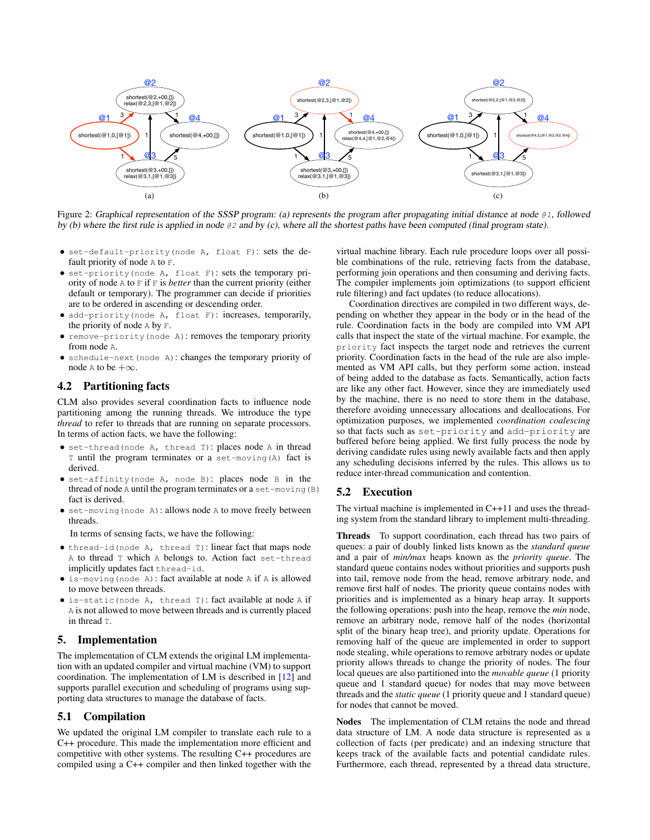<span id="page-4-0"></span>

Figure 2: Graphical representation of the SSSP program: (a) represents the program after propagating initial distance at node @1, followed by (b) where the first rule is applied in node  $\mathcal{C}2$  and by (c), where all the shortest paths have been computed (final program state).

- set-default-priority(node A, float F): sets the default priority of node A to F.
- set-priority(node A, float F): sets the temporary priority of node A to  $F$  if  $F$  is *better* than the current priority (either default or temporary). The programmer can decide if priorities are to be ordered in ascending or descending order.
- add-priority(node A, float F): increases, temporarily, the priority of node A by F.
- remove-priority(node A): removes the temporary priority from node A.
- schedule-next(node A): changes the temporary priority of node A to be  $+\infty$ .

## 4.2 Partitioning facts

CLM also provides several coordination facts to influence node partitioning among the running threads. We introduce the type *thread* to refer to threads that are running on separate processors. In terms of action facts, we have the following:

- set-thread(node A, thread T): places node A in thread T until the program terminates or a set-moving(A) fact is derived.
- set-affinity(node A, node B): places node B in the thread of node A until the program terminates or a set-moving (B) fact is derived.
- set-moving(node A): allows node A to move freely between threads.

In terms of sensing facts, we have the following:

- thread-id(node A, thread T): linear fact that maps node A to thread T which A belongs to. Action fact set-thread implicitly updates fact thread-id.
- is-moving(node A): fact available at node A if A is allowed to move between threads.
- is-static(node A, thread T): fact available at node A if A is not allowed to move between threads and is currently placed in thread T.

## 5. Implementation

The implementation of CLM extends the original LM implementation with an updated compiler and virtual machine (VM) to support coordination. The implementation of LM is described in [\[12\]](#page-10-2) and supports parallel execution and scheduling of programs using supporting data structures to manage the database of facts.

## 5.1 Compilation

We updated the original LM compiler to translate each rule to a C++ procedure. This made the implementation more efficient and competitive with other systems. The resulting C++ procedures are compiled using a C++ compiler and then linked together with the

virtual machine library. Each rule procedure loops over all possible combinations of the rule, retrieving facts from the database, performing join operations and then consuming and deriving facts. The compiler implements join optimizations (to support efficient rule filtering) and fact updates (to reduce allocations).

Coordination directives are compiled in two different ways, depending on whether they appear in the body or in the head of the rule. Coordination facts in the body are compiled into VM API calls that inspect the state of the virtual machine. For example, the priority fact inspects the target node and retrieves the current priority. Coordination facts in the head of the rule are also implemented as VM API calls, but they perform some action, instead of being added to the database as facts. Semantically, action facts are like any other fact. However, since they are immediately used by the machine, there is no need to store them in the database, therefore avoiding unnecessary allocations and deallocations. For optimization purposes, we implemented *coordination coalescing* so that facts such as set-priority and add-priority are buffered before being applied. We first fully process the node by deriving candidate rules using newly available facts and then apply any scheduling decisions inferred by the rules. This allows us to reduce inter-thread communication and contention.

#### 5.2 Execution

The virtual machine is implemented in C++11 and uses the threading system from the standard library to implement multi-threading.

Threads To support coordination, each thread has two pairs of queues: a pair of doubly linked lists known as the *standard queue* and a pair of *min/max* heaps known as the *priority queue*. The standard queue contains nodes without priorities and supports push into tail, remove node from the head, remove arbitrary node, and remove first half of nodes. The priority queue contains nodes with priorities and is implemented as a binary heap array. It supports the following operations: push into the heap, remove the *min* node, remove an arbitrary node, remove half of the nodes (horizontal split of the binary heap tree), and priority update. Operations for removing half of the queue are implemented in order to support node stealing, while operations to remove arbitrary nodes or update priority allows threads to change the priority of nodes. The four local queues are also partitioned into the *movable queue* (1 priority queue and 1 standard queue) for nodes that may move between threads and the *static queue* (1 priority queue and 1 standard queue) for nodes that cannot be moved.

Nodes The implementation of CLM retains the node and thread data structure of LM. A node data structure is represented as a collection of facts (per predicate) and an indexing structure that keeps track of the available facts and potential candidate rules. Furthermore, each thread, represented by a thread data structure,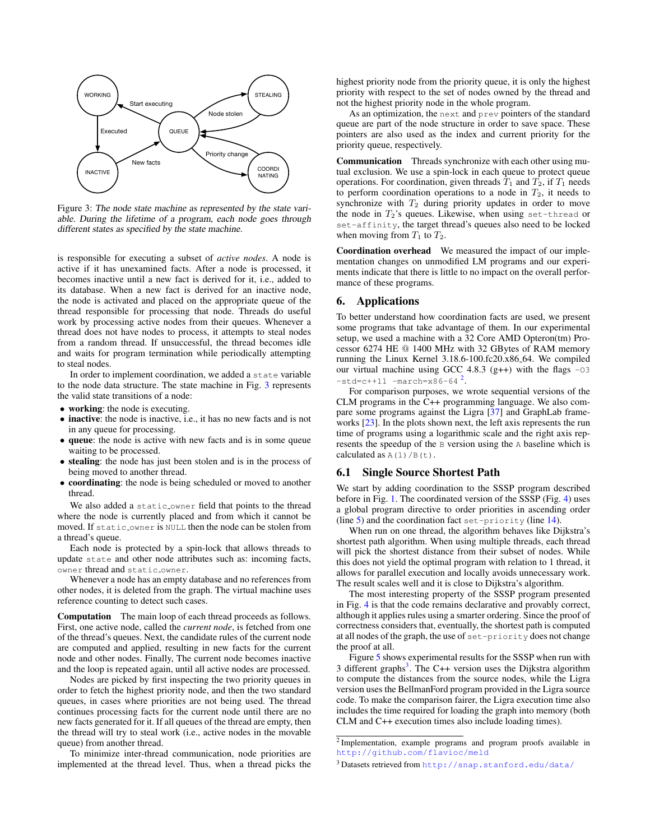<span id="page-5-0"></span>

Figure 3: The node state machine as represented by the state variable. During the lifetime of a program, each node goes through different states as specified by the state machine.

is responsible for executing a subset of *active nodes*. A node is active if it has unexamined facts. After a node is processed, it becomes inactive until a new fact is derived for it, i.e., added to its database. When a new fact is derived for an inactive node, the node is activated and placed on the appropriate queue of the thread responsible for processing that node. Threads do useful work by processing active nodes from their queues. Whenever a thread does not have nodes to process, it attempts to steal nodes from a random thread. If unsuccessful, the thread becomes idle and waits for program termination while periodically attempting to steal nodes.

In order to implement coordination, we added a state variable to the node data structure. The state machine in Fig. [3](#page-5-0) represents the valid state transitions of a node:

- working: the node is executing.
- inactive: the node is inactive, i.e., it has no new facts and is not in any queue for processing.
- queue: the node is active with new facts and is in some queue waiting to be processed.
- stealing: the node has just been stolen and is in the process of being moved to another thread.
- coordinating: the node is being scheduled or moved to another thread.

We also added a static owner field that points to the thread where the node is currently placed and from which it cannot be moved. If static owner is NULL then the node can be stolen from a thread's queue.

Each node is protected by a spin-lock that allows threads to update state and other node attributes such as: incoming facts, owner thread and static\_owner.

Whenever a node has an empty database and no references from other nodes, it is deleted from the graph. The virtual machine uses reference counting to detect such cases.

Computation The main loop of each thread proceeds as follows. First, one active node, called the *current node*, is fetched from one of the thread's queues. Next, the candidate rules of the current node are computed and applied, resulting in new facts for the current node and other nodes. Finally, The current node becomes inactive and the loop is repeated again, until all active nodes are processed.

Nodes are picked by first inspecting the two priority queues in order to fetch the highest priority node, and then the two standard queues, in cases where priorities are not being used. The thread continues processing facts for the current node until there are no new facts generated for it. If all queues of the thread are empty, then the thread will try to steal work (i.e., active nodes in the movable queue) from another thread.

To minimize inter-thread communication, node priorities are implemented at the thread level. Thus, when a thread picks the highest priority node from the priority queue, it is only the highest priority with respect to the set of nodes owned by the thread and not the highest priority node in the whole program.

As an optimization, the next and prev pointers of the standard queue are part of the node structure in order to save space. These pointers are also used as the index and current priority for the priority queue, respectively.

Communication Threads synchronize with each other using mutual exclusion. We use a spin-lock in each queue to protect queue operations. For coordination, given threads  $T_1$  and  $T_2$ , if  $T_1$  needs to perform coordination operations to a node in  $T_2$ , it needs to synchronize with  $T_2$  during priority updates in order to move the node in  $T_2$ 's queues. Likewise, when using set-thread or set-affinity, the target thread's queues also need to be locked when moving from  $T_1$  to  $T_2$ .

Coordination overhead We measured the impact of our implementation changes on unmodified LM programs and our experiments indicate that there is little to no impact on the overall performance of these programs.

#### 6. Applications

To better understand how coordination facts are used, we present some programs that take advantage of them. In our experimental setup, we used a machine with a 32 Core AMD Opteron(tm) Processor 6274 HE @ 1400 MHz with 32 GBytes of RAM memory running the Linux Kernel 3.18.6-100.fc20.x86 64. We compiled our virtual machine using GCC 4.8.3  $(g++)$  with the flags  $-03$  $-std=c+11$   $-march=x86-64$ <sup>[2](#page-5-1)</sup>.

For comparison purposes, we wrote sequential versions of the CLM programs in the C++ programming language. We also compare some programs against the Ligra [\[37\]](#page-11-1) and GraphLab frameworks [\[23\]](#page-11-2). In the plots shown next, the left axis represents the run time of programs using a logarithmic scale and the right axis represents the speedup of the B version using the A baseline which is calculated as  $A(1)/B(t)$ .

## 6.1 Single Source Shortest Path

We start by adding coordination to the SSSP program described before in Fig. [1.](#page-3-1) The coordinated version of the SSSP (Fig. [4\)](#page-6-0) uses a global program directive to order priorities in ascending order (line [5\)](#page-6-0) and the coordination fact set-priority (line [14\)](#page-6-0).

When run on one thread, the algorithm behaves like Dijkstra's shortest path algorithm. When using multiple threads, each thread will pick the shortest distance from their subset of nodes. While this does not yield the optimal program with relation to 1 thread, it allows for parallel execution and locally avoids unnecessary work. The result scales well and it is close to Dijkstra's algorithm.

The most interesting property of the SSSP program presented in Fig. [4](#page-6-0) is that the code remains declarative and provably correct, although it applies rules using a smarter ordering. Since the proof of correctness considers that, eventually, the shortest path is computed at all nodes of the graph, the use of set-priority does not change the proof at all.

Figure [5](#page-6-1) shows experimental results for the SSSP when run with [3](#page-5-2) different graphs<sup>3</sup>. The C++ version uses the Dijkstra algorithm to compute the distances from the source nodes, while the Ligra version uses the BellmanFord program provided in the Ligra source code. To make the comparison fairer, the Ligra execution time also includes the time required for loading the graph into memory (both CLM and C++ execution times also include loading times).

<span id="page-5-1"></span><sup>&</sup>lt;sup>2</sup> Implementation, example programs and program proofs available in <http://github.com/flavioc/meld>

<span id="page-5-2"></span><sup>3</sup> Datasets retrieved from <http://snap.stanford.edu/data/>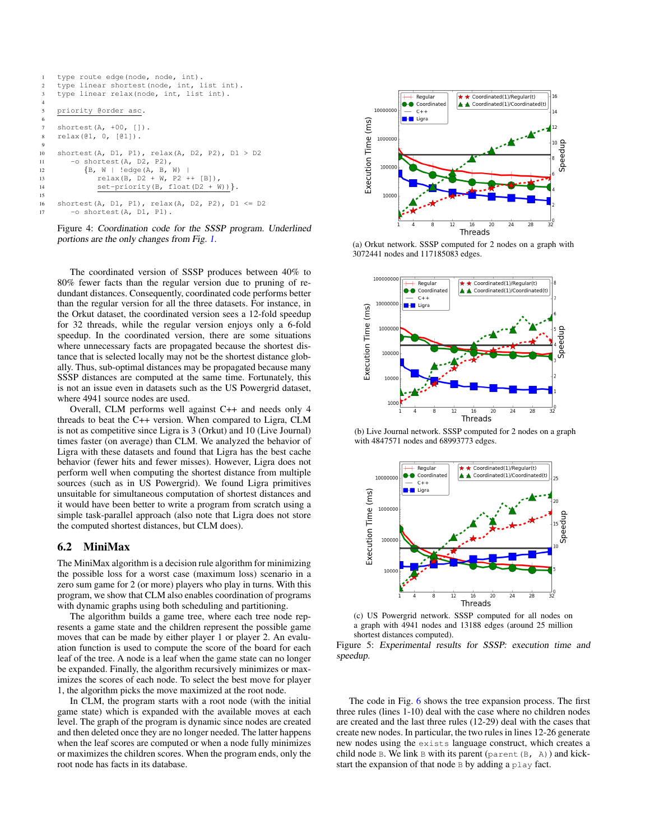```
type route edge(node, node, int).
2 type linear shortest(node, int, list int).
   type linear relax(node, int, list int).
4
   priority @order asc
6
   shortest(A, +00, [].
   8 relax(@1, 0, [@1]).
9
10 shortest(A, D1, P1), relax(A, D2, P2), D1 > D2
11 -o shortest(A, D2, P2),
12 {B, W |}!edge(A, B, W)13 relax(B, D2 + W, P2 ++ [B]),
14 set-priority(B, float(D2 + W)) }
15
16 shortest(A, D1, P1), relax(A, D2, P2), D1 <= D2
17 -o shortest(A, D1, P1).
```
Figure 4: Coordination code for the SSSP program. Underlined portions are the only changes from Fig. [1.](#page-3-1)

The coordinated version of SSSP produces between 40% to 80% fewer facts than the regular version due to pruning of redundant distances. Consequently, coordinated code performs better than the regular version for all the three datasets. For instance, in the Orkut dataset, the coordinated version sees a 12-fold speedup for 32 threads, while the regular version enjoys only a 6-fold speedup. In the coordinated version, there are some situations where unnecessary facts are propagated because the shortest distance that is selected locally may not be the shortest distance globally. Thus, sub-optimal distances may be propagated because many SSSP distances are computed at the same time. Fortunately, this is not an issue even in datasets such as the US Powergrid dataset, where 4941 source nodes are used.

Overall, CLM performs well against C++ and needs only 4 threads to beat the C++ version. When compared to Ligra, CLM is not as competitive since Ligra is 3 (Orkut) and 10 (Live Journal) times faster (on average) than CLM. We analyzed the behavior of Ligra with these datasets and found that Ligra has the best cache behavior (fewer hits and fewer misses). However, Ligra does not perform well when computing the shortest distance from multiple sources (such as in US Powergrid). We found Ligra primitives unsuitable for simultaneous computation of shortest distances and it would have been better to write a program from scratch using a simple task-parallel approach (also note that Ligra does not store the computed shortest distances, but CLM does).

## 6.2 MiniMax

The MiniMax algorithm is a decision rule algorithm for minimizing the possible loss for a worst case (maximum loss) scenario in a zero sum game for 2 (or more) players who play in turns. With this program, we show that CLM also enables coordination of programs with dynamic graphs using both scheduling and partitioning.

The algorithm builds a game tree, where each tree node represents a game state and the children represent the possible game moves that can be made by either player 1 or player 2. An evaluation function is used to compute the score of the board for each leaf of the tree. A node is a leaf when the game state can no longer be expanded. Finally, the algorithm recursively minimizes or maximizes the scores of each node. To select the best move for player 1, the algorithm picks the move maximized at the root node.

In CLM, the program starts with a root node (with the initial game state) which is expanded with the available moves at each level. The graph of the program is dynamic since nodes are created and then deleted once they are no longer needed. The latter happens when the leaf scores are computed or when a node fully minimizes or maximizes the children scores. When the program ends, only the root node has facts in its database.

<span id="page-6-1"></span>

(a) Orkut network. SSSP computed for 2 nodes on a graph with 3072441 nodes and 117185083 edges.



(b) Live Journal network. SSSP computed for 2 nodes on a graph with 4847571 nodes and 68993773 edges.



(c) US Powergrid network. SSSP computed for all nodes on a graph with 4941 nodes and 13188 edges (around 25 million shortest distances computed).

Figure 5: Experimental results for SSSP: execution time and speedup.

The code in Fig. [6](#page-7-0) shows the tree expansion process. The first three rules (lines 1-10) deal with the case where no children nodes are created and the last three rules (12-29) deal with the cases that create new nodes. In particular, the two rules in lines 12-26 generate new nodes using the exists language construct, which creates a child node B. We link B with its parent (parent  $(B, A)$ ) and kickstart the expansion of that node  $\overline{B}$  by adding a play fact.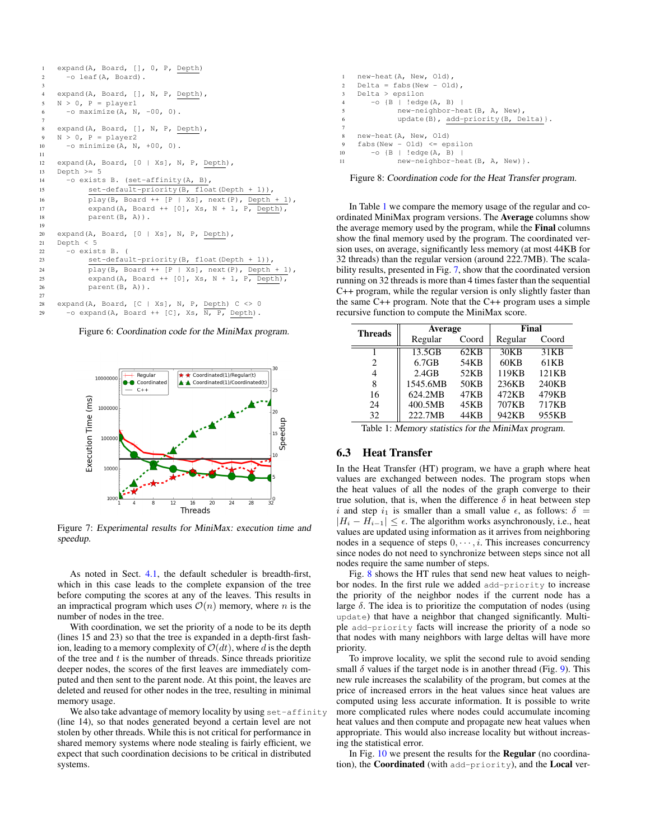```
1 expand(A, Board, [], 0, P, Depth)
2 -o leaf(A, Board).
3
4 expand(A, Board, [], N, P, Depth),
5 \text{ N} > 0, P = \text{player1}-o maximize(A, N, -00, 0).
 7
    expand(A, Board, [], N, P, Depth),
9 \text{ N} > 0, P = \text{player2}10 -o minimize(A, N, +00, 0).
\frac{11}{12}expand(A, Board, [0 | Xs], N, P, Depth),
13 Depth >= 5
14 -o exists B. (set-affinity(A, B),
15 set-default-priority(B, float(Depth + 1)),
16 play(B, Board ++ [P | Xs], next(P), Depth + 1),
17 expand(A, Board ++ [0], Xs, N + 1, P, Depth),
18 parent(B, A)).
19
20 expand(A, Board, [0 | Xs], N, P, Depth),
21 Depth < 5
22 -o exists B. (
23 set-default-priority(B, float(Depth + 1)),
24 play(B, Board ++ [P | Xs], next(P), \frac{\text{Depth } + 1}{\text{Depth } + 1},
expand(A, Board ++ [0], Xs, N + 1, P, Depth),
26 parent(B, A)).
27
28 expand(A, Board, [C \mid Xs], N, P, Depth) C \leq 029 -o expand(A, Board ++ [C], Xs, \overline{N, P}, Depth).
```
Figure 6: Coordination code for the MiniMax program.

<span id="page-7-2"></span>

Figure 7: Experimental results for MiniMax: execution time and speedup.

As noted in Sect. [4.1,](#page-3-3) the default scheduler is breadth-first, which in this case leads to the complete expansion of the tree before computing the scores at any of the leaves. This results in an impractical program which uses  $\mathcal{O}(n)$  memory, where n is the number of nodes in the tree.

With coordination, we set the priority of a node to be its depth (lines 15 and 23) so that the tree is expanded in a depth-first fashion, leading to a memory complexity of  $\mathcal{O}(dt)$ , where d is the depth of the tree and  $t$  is the number of threads. Since threads prioritize deeper nodes, the scores of the first leaves are immediately computed and then sent to the parent node. At this point, the leaves are deleted and reused for other nodes in the tree, resulting in minimal memory usage.

We also take advantage of memory locality by using set-affinity (line 14), so that nodes generated beyond a certain level are not stolen by other threads. While this is not critical for performance in shared memory systems where node stealing is fairly efficient, we expect that such coordination decisions to be critical in distributed systems.

```
1 new-heat(A, New, Old),
2 Delta = fabs(New - Old),
3 Delta > epsilon
4 -o {B | !edge(A, B) |
5 new-neighbor-heat(B, A, New),
6 update(B), add-priority(B, Delta) }.
7
 8 new-heat(A, New, Old)
9 fabs(New - Old) <= epsilon
10 -o {B | !edge(A, B) |
11 new-neighbor-heat(B, A, New)}.
```
Figure 8: Coordination code for the Heat Transfer program.

In Table [1](#page-7-1) we compare the memory usage of the regular and coordinated MiniMax program versions. The Average columns show the average memory used by the program, while the Final columns show the final memory used by the program. The coordinated version uses, on average, significantly less memory (at most 44KB for 32 threads) than the regular version (around 222.7MB). The scalability results, presented in Fig. [7,](#page-7-2) show that the coordinated version running on 32 threads is more than 4 times faster than the sequential C++ program, while the regular version is only slightly faster than the same C++ program. Note that the C++ program uses a simple recursive function to compute the MiniMax score.

<span id="page-7-1"></span>

| <b>Threads</b> | Average  |       | Final   |                  |
|----------------|----------|-------|---------|------------------|
|                | Regular  | Coord | Regular | Coord            |
|                | 13.5GB   | 62KB  | $30K$ B | 31KB             |
| 2              | 6.7GB    | 54KB  | 60KB    | 61 <sub>KB</sub> |
| 4              | 2.4GB    | 52KB  | 119KB   | 121KB            |
| 8              | 1545.6MB | 50KB  | 236KB   | 240KB            |
| 16             | 624.2MB  | 47KB  | 472KB   | 479KB            |
| 24             | 400.5MB  | 45KB  | 707KB   | 717KB            |
| 32             | 222.7MB  | 44KB  | 942KB   | 955KB            |

Table 1: Memory statistics for the MiniMax program.

## 6.3 Heat Transfer

In the Heat Transfer (HT) program, we have a graph where heat values are exchanged between nodes. The program stops when the heat values of all the nodes of the graph converge to their true solution, that is, when the difference  $\delta$  in heat between step i and step  $i_1$  is smaller than a small value  $\epsilon$ , as follows:  $\delta =$  $|H_i - H_{i-1}| \leq \epsilon$ . The algorithm works asynchronously, i.e., heat values are updated using information as it arrives from neighboring nodes in a sequence of steps  $0, \dots, i$ . This increases concurrency since nodes do not need to synchronize between steps since not all nodes require the same number of steps.

Fig. [8](#page-7-3) shows the HT rules that send new heat values to neighbor nodes. In the first rule we added add-priority to increase the priority of the neighbor nodes if the current node has a large  $\delta$ . The idea is to prioritize the computation of nodes (using update) that have a neighbor that changed significantly. Multiple add-priority facts will increase the priority of a node so that nodes with many neighbors with large deltas will have more priority.

To improve locality, we split the second rule to avoid sending small  $\delta$  values if the target node is in another thread (Fig. [9\)](#page-8-0). This new rule increases the scalability of the program, but comes at the price of increased errors in the heat values since heat values are computed using less accurate information. It is possible to write more complicated rules where nodes could accumulate incoming heat values and then compute and propagate new heat values when appropriate. This would also increase locality but without increasing the statistical error.

In Fig. [10](#page-8-1) we present the results for the **Regular** (no coordination), the **Coordinated** (with add-priority), and the **Local** ver-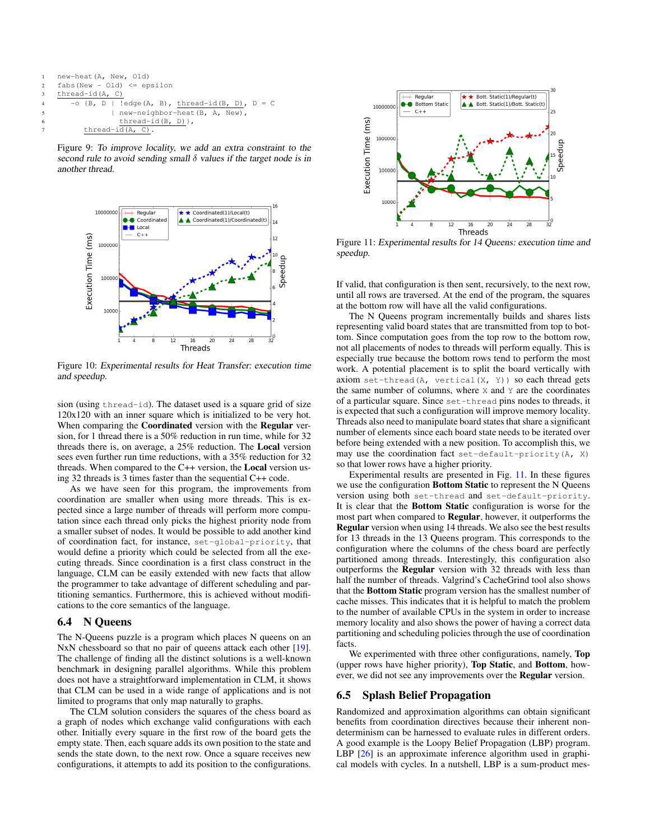```
new-heat(A, New, Old)
2 fabs(New - Old) <= epsilon
   thread-id(A, C)-o {B, D | !edge(A, B), thread-id(B, D), D = C
5 | new-neighbor-heat(B, A, New),
6 threed-id(B, D),
7 thread-id(A, C).
```
Figure 9: To improve locality, we add an extra constraint to the second rule to avoid sending small  $\delta$  values if the target node is in another thread.

<span id="page-8-1"></span>

Figure 10: Experimental results for Heat Transfer: execution time and speedup.

sion (using thread-id). The dataset used is a square grid of size 120x120 with an inner square which is initialized to be very hot. When comparing the **Coordinated** version with the **Regular** version, for 1 thread there is a 50% reduction in run time, while for 32 threads there is, on average, a 25% reduction. The Local version sees even further run time reductions, with a 35% reduction for 32 threads. When compared to the C++ version, the Local version using 32 threads is 3 times faster than the sequential C++ code.

As we have seen for this program, the improvements from coordination are smaller when using more threads. This is expected since a large number of threads will perform more computation since each thread only picks the highest priority node from a smaller subset of nodes. It would be possible to add another kind of coordination fact, for instance, set-global-priority, that would define a priority which could be selected from all the executing threads. Since coordination is a first class construct in the language, CLM can be easily extended with new facts that allow the programmer to take advantage of different scheduling and partitioning semantics. Furthermore, this is achieved without modifications to the core semantics of the language.

## 6.4 N Queens

The N-Queens puzzle is a program which places N queens on an NxN chessboard so that no pair of queens attack each other [\[19\]](#page-11-21). The challenge of finding all the distinct solutions is a well-known benchmark in designing parallel algorithms. While this problem does not have a straightforward implementation in CLM, it shows that CLM can be used in a wide range of applications and is not limited to programs that only map naturally to graphs.

The CLM solution considers the squares of the chess board as a graph of nodes which exchange valid configurations with each other. Initially every square in the first row of the board gets the empty state. Then, each square adds its own position to the state and sends the state down, to the next row. Once a square receives new configurations, it attempts to add its position to the configurations.

<span id="page-8-2"></span>

Figure 11: Experimental results for 14 Queens: execution time and speedup.

If valid, that configuration is then sent, recursively, to the next row, until all rows are traversed. At the end of the program, the squares at the bottom row will have all the valid configurations.

The N Queens program incrementally builds and shares lists representing valid board states that are transmitted from top to bottom. Since computation goes from the top row to the bottom row, not all placements of nodes to threads will perform equally. This is especially true because the bottom rows tend to perform the most work. A potential placement is to split the board vertically with axiom set-thread(A, vertical(X, Y)) so each thread gets the same number of columns, where  $X$  and  $Y$  are the coordinates of a particular square. Since set-thread pins nodes to threads, it is expected that such a configuration will improve memory locality. Threads also need to manipulate board states that share a significant number of elements since each board state needs to be iterated over before being extended with a new position. To accomplish this, we may use the coordination fact set-default-priority  $(A, X)$ so that lower rows have a higher priority.

Experimental results are presented in Fig. [11.](#page-8-2) In these figures we use the configuration Bottom Static to represent the N Queens version using both set-thread and set-default-priority. It is clear that the Bottom Static configuration is worse for the most part when compared to Regular, however, it outperforms the Regular version when using 14 threads. We also see the best results for 13 threads in the 13 Queens program. This corresponds to the configuration where the columns of the chess board are perfectly partitioned among threads. Interestingly, this configuration also outperforms the Regular version with 32 threads with less than half the number of threads. Valgrind's CacheGrind tool also shows that the Bottom Static program version has the smallest number of cache misses. This indicates that it is helpful to match the problem to the number of available CPUs in the system in order to increase memory locality and also shows the power of having a correct data partitioning and scheduling policies through the use of coordination facts.

We experimented with three other configurations, namely, Top (upper rows have higher priority), Top Static, and Bottom, however, we did not see any improvements over the Regular version.

## 6.5 Splash Belief Propagation

Randomized and approximation algorithms can obtain significant benefits from coordination directives because their inherent nondeterminism can be harnessed to evaluate rules in different orders. A good example is the Loopy Belief Propagation (LBP) program. LBP  $[26]$  is an approximate inference algorithm used in graphical models with cycles. In a nutshell, LBP is a sum-product mes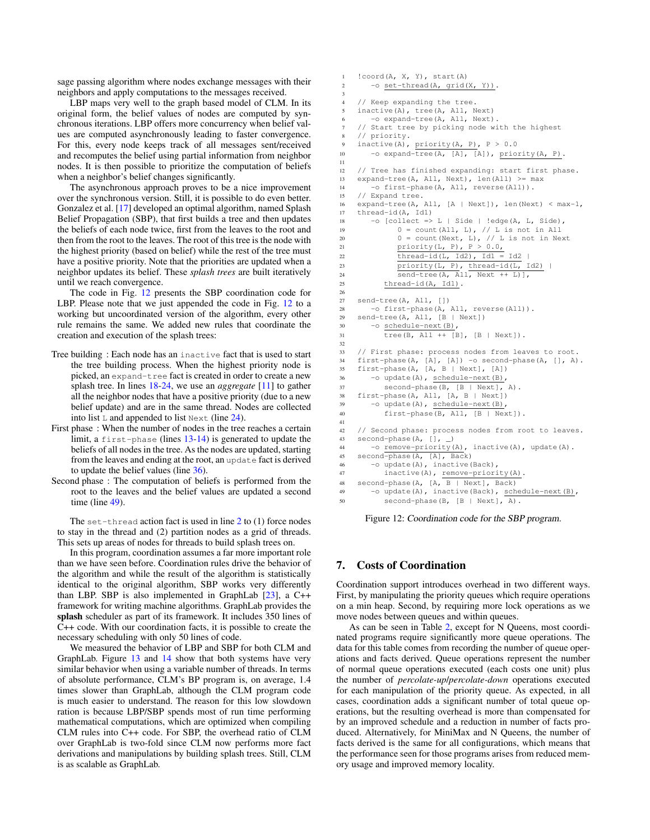sage passing algorithm where nodes exchange messages with their neighbors and apply computations to the messages received.

LBP maps very well to the graph based model of CLM. In its original form, the belief values of nodes are computed by synchronous iterations. LBP offers more concurrency when belief values are computed asynchronously leading to faster convergence. For this, every node keeps track of all messages sent/received and recomputes the belief using partial information from neighbor nodes. It is then possible to prioritize the computation of beliefs when a neighbor's belief changes significantly.

The asynchronous approach proves to be a nice improvement over the synchronous version. Still, it is possible to do even better. Gonzalez et al. [\[17\]](#page-11-23) developed an optimal algorithm, named Splash Belief Propagation (SBP), that first builds a tree and then updates the beliefs of each node twice, first from the leaves to the root and then from the root to the leaves. The root of this tree is the node with the highest priority (based on belief) while the rest of the tree must have a positive priority. Note that the priorities are updated when a neighbor updates its belief. These *splash trees* are built iteratively until we reach convergence.

The code in Fig. [12](#page-9-0) presents the SBP coordination code for LBP. Please note that we just appended the code in Fig. [12](#page-9-0) to a working but uncoordinated version of the algorithm, every other rule remains the same. We added new rules that coordinate the creation and execution of the splash trees:

- Tree building : Each node has an inactive fact that is used to start the tree building process. When the highest priority node is picked, an expand-tree fact is created in order to create a new splash tree. In lines [18-24,](#page-9-0) we use an *aggregate* [\[11\]](#page-10-1) to gather all the neighbor nodes that have a positive priority (due to a new belief update) and are in the same thread. Nodes are collected into list  $\mathbb L$  and appended to list Next (line [24\)](#page-9-0).
- First phase : When the number of nodes in the tree reaches a certain limit, a first-phase (lines  $13-14$ ) is generated to update the beliefs of all nodes in the tree. As the nodes are updated, starting from the leaves and ending at the root, an update fact is derived to update the belief values (line [36\)](#page-9-0).
- Second phase : The computation of beliefs is performed from the root to the leaves and the belief values are updated a second time (line [49\)](#page-9-0).

The set-thread action fact is used in line  $2$  to (1) force nodes to stay in the thread and (2) partition nodes as a grid of threads. This sets up areas of nodes for threads to build splash trees on.

In this program, coordination assumes a far more important role than we have seen before. Coordination rules drive the behavior of the algorithm and while the result of the algorithm is statistically identical to the original algorithm, SBP works very differently than LBP. SBP is also implemented in GraphLab [\[23\]](#page-11-2), a C++ framework for writing machine algorithms. GraphLab provides the splash scheduler as part of its framework. It includes 350 lines of C++ code. With our coordination facts, it is possible to create the necessary scheduling with only 50 lines of code.

We measured the behavior of LBP and SBP for both CLM and GraphLab. Figure [13](#page-10-13) and [14](#page-10-13) show that both systems have very similar behavior when using a variable number of threads. In terms of absolute performance, CLM's BP program is, on average, 1.4 times slower than GraphLab, although the CLM program code is much easier to understand. The reason for this low slowdown ration is because LBP/SBP spends most of run time performing mathematical computations, which are optimized when compiling CLM rules into C++ code. For SBP, the overhead ratio of CLM over GraphLab is two-fold since CLM now performs more fact derivations and manipulations by building splash trees. Still, CLM is as scalable as GraphLab.

```
1 !coord(A, X, Y), start(A)
2 -o set-thread(A, grid(X, Y)).
3
4 // Keep expanding the tree.
5 inactive(A), tree(A, All, Next)
6 -o expand-tree(A, All, Next).
7 // Start tree by picking node with the highest
8 // priority.
9 inactive(A), priority(A, P), P > 0.010 - o expand-tree(A, [A], [A]), priority(A, P).
11
12 // Tree has finished expanding: start first phase.
13 expand-tree(A, All, Next), len(All) >= max
14 -o first-phase(A, All, reverse(All)).
15 // Expand tree.
16 expand-tree(A, All, [A | Next]), len(Next) < max-1,
17 thread-id(A, Id1)
18 -o [collect => L | Side | !edge(A, L, Side),
19 0 = count (All, L), // L is not in All<br>20 0 = count (Next, L), // L is not in Ne
             0 = count(Next, L), // L is not in Next21 \frac{\text{priority}(L, P), P > 0.0}{P}\frac{\text{thread-id}(L, \text{Id2})}{\text{H1} \cdot \text{Id2}} = \text{Id2}23 priority(L, P), thread-id(L, Id2) |
24 send-tree(A, All, Next ++ L)],
25 thread-id(A, Id1).
26
27 send-tree(A, All, [])
28 -o first-phase(A, All, reverse(All)).
29 send-tree(A, All, [B | Next])
30 -o schedule-next(B),
31 tree(B, All ++ [B], [B | Next]).
32
33 // First phase: process nodes from leaves to root.
34 first-phase(A, [A], [A]) -o second-phase(A, [], A).
35 first-phase(A, [A, B | Next], [A])
36 -o update(A), schedule-next(B),
37 second-phase(B, [B | Next], A).
38 first-phase(A, A11, [A, B] Next])
39 -o update(A), schedule-next(B),
40 first-phase(B, All, [B | Next]).
41
42 // Second phase: process nodes from root to leaves.
43 second-phase(A, [], _)
44 -o remove-priority(A), inactive(A), update(A).
45 second-phase(A, [A], Back)<br>46 - o update(A), inactive(
       46 -o update(A), inactive(Back),
47 inactive(A), <u>remove-priority(A)</u>.
48 second-phase(A, [A, B | Next], Back)
49 -o update(A), inactive(Back), schedule-next(B),
50 second-phase(B, [B | Next], A).
```
Figure 12: Coordination code for the SBP program.

## 7. Costs of Coordination

Coordination support introduces overhead in two different ways. First, by manipulating the priority queues which require operations on a min heap. Second, by requiring more lock operations as we move nodes between queues and within queues.

As can be seen in Table [2,](#page-10-14) except for N Queens, most coordinated programs require significantly more queue operations. The data for this table comes from recording the number of queue operations and facts derived. Queue operations represent the number of normal queue operations executed (each costs one unit) plus the number of *percolate-up*/*percolate-down* operations executed for each manipulation of the priority queue. As expected, in all cases, coordination adds a significant number of total queue operations, but the resulting overhead is more than compensated for by an improved schedule and a reduction in number of facts produced. Alternatively, for MiniMax and N Queens, the number of facts derived is the same for all configurations, which means that the performance seen for those programs arises from reduced memory usage and improved memory locality.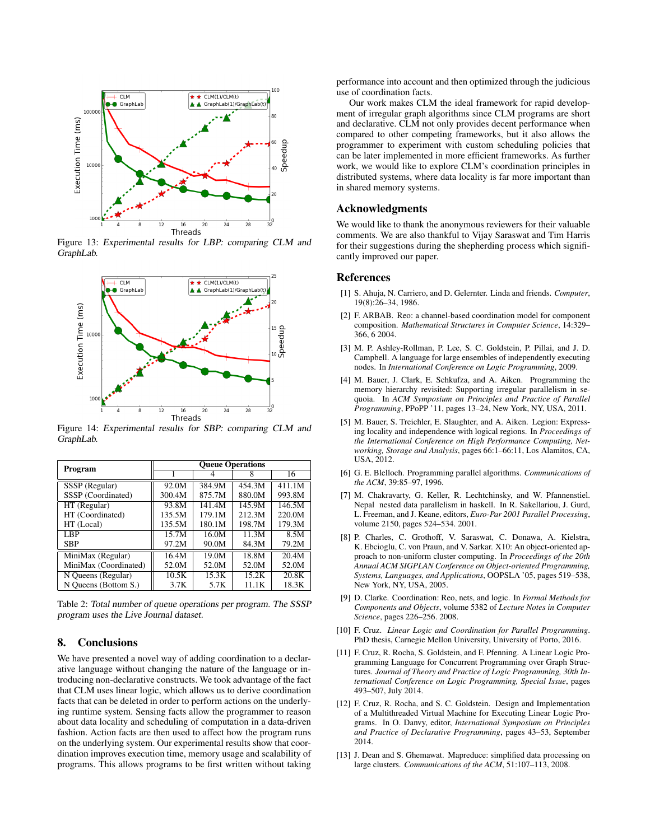<span id="page-10-13"></span>

Figure 13: Experimental results for LBP: comparing CLM and GraphLab.



Figure 14: Experimental results for SBP: comparing CLM and GraphLab.

<span id="page-10-14"></span>

| Program               | <b>Queue Operations</b> |        |        |        |  |  |
|-----------------------|-------------------------|--------|--------|--------|--|--|
|                       |                         | 4      |        | 16     |  |  |
| SSSP (Regular)        | 92.0M                   | 384.9M | 454.3M | 411.1M |  |  |
| SSSP (Coordinated)    | 300.4M                  | 875.7M | 880.0M | 993.8M |  |  |
| HT (Regular)          | 93.8M                   | 141.4M | 145.9M | 146.5M |  |  |
| HT (Coordinated)      | 135.5M                  | 179.1M | 212.3M | 220.0M |  |  |
| HT (Local)            | 135.5M                  | 180.1M | 198.7M | 179.3M |  |  |
| LBP                   | 15.7M                   | 16.0M  | 11.3M  | 8.5M   |  |  |
| <b>SBP</b>            | 97.2M                   | 90.0M  | 84.3M  | 79.2M  |  |  |
| MiniMax (Regular)     | 16.4M                   | 19.0M  | 18.8M  | 20.4M  |  |  |
| MiniMax (Coordinated) | 52.0M                   | 52.0M  | 52.0M  | 52.0M  |  |  |
| N Queens (Regular)    | 10.5K                   | 15.3K  | 15.2K  | 20.8K  |  |  |
| N Queens (Bottom S.)  | 3.7K                    | 5.7K   | 11.1K  | 18.3K  |  |  |

Table 2: Total number of queue operations per program. The SSSP program uses the Live Journal dataset.

#### 8. Conclusions

We have presented a novel way of adding coordination to a declarative language without changing the nature of the language or introducing non-declarative constructs. We took advantage of the fact that CLM uses linear logic, which allows us to derive coordination facts that can be deleted in order to perform actions on the underlying runtime system. Sensing facts allow the programmer to reason about data locality and scheduling of computation in a data-driven fashion. Action facts are then used to affect how the program runs on the underlying system. Our experimental results show that coordination improves execution time, memory usage and scalability of programs. This allows programs to be first written without taking performance into account and then optimized through the judicious use of coordination facts.

Our work makes CLM the ideal framework for rapid development of irregular graph algorithms since CLM programs are short and declarative. CLM not only provides decent performance when compared to other competing frameworks, but it also allows the programmer to experiment with custom scheduling policies that can be later implemented in more efficient frameworks. As further work, we would like to explore CLM's coordination principles in distributed systems, where data locality is far more important than in shared memory systems.

## Acknowledgments

We would like to thank the anonymous reviewers for their valuable comments. We are also thankful to Vijay Saraswat and Tim Harris for their suggestions during the shepherding process which significantly improved our paper.

## References

- <span id="page-10-7"></span>[1] S. Ahuja, N. Carriero, and D. Gelernter. Linda and friends. *Computer*, 19(8):26–34, 1986.
- <span id="page-10-8"></span>[2] F. ARBAB. Reo: a channel-based coordination model for component composition. *Mathematical Structures in Computer Science*, 14:329– 366, 6 2004.
- <span id="page-10-6"></span>[3] M. P. Ashley-Rollman, P. Lee, S. C. Goldstein, P. Pillai, and J. D. Campbell. A language for large ensembles of independently executing nodes. In *International Conference on Logic Programming*, 2009.
- <span id="page-10-11"></span>[4] M. Bauer, J. Clark, E. Schkufza, and A. Aiken. Programming the memory hierarchy revisited: Supporting irregular parallelism in sequoia. In *ACM Symposium on Principles and Practice of Parallel Programming*, PPoPP '11, pages 13–24, New York, NY, USA, 2011.
- <span id="page-10-10"></span>[5] M. Bauer, S. Treichler, E. Slaughter, and A. Aiken. Legion: Expressing locality and independence with logical regions. In *Proceedings of the International Conference on High Performance Computing, Networking, Storage and Analysis*, pages 66:1–66:11, Los Alamitos, CA, USA, 2012.
- <span id="page-10-3"></span>[6] G. E. Blelloch. Programming parallel algorithms. *Communications of the ACM*, 39:85–97, 1996.
- <span id="page-10-4"></span>[7] M. Chakravarty, G. Keller, R. Lechtchinsky, and W. Pfannenstiel. Nepal nested data parallelism in haskell. In R. Sakellariou, J. Gurd, L. Freeman, and J. Keane, editors, *Euro-Par 2001 Parallel Processing*, volume 2150, pages 524–534. 2001.
- <span id="page-10-5"></span>[8] P. Charles, C. Grothoff, V. Saraswat, C. Donawa, A. Kielstra, K. Ebcioglu, C. von Praun, and V. Sarkar. X10: An object-oriented approach to non-uniform cluster computing. In *Proceedings of the 20th Annual ACM SIGPLAN Conference on Object-oriented Programming, Systems, Languages, and Applications*, OOPSLA '05, pages 519–538, New York, NY, USA, 2005.
- <span id="page-10-9"></span>[9] D. Clarke. Coordination: Reo, nets, and logic. In *Formal Methods for Components and Objects*, volume 5382 of *Lecture Notes in Computer Science*, pages 226–256. 2008.
- <span id="page-10-12"></span>[10] F. Cruz. *Linear Logic and Coordination for Parallel Programming*. PhD thesis, Carnegie Mellon University, University of Porto, 2016.
- <span id="page-10-1"></span>[11] F. Cruz, R. Rocha, S. Goldstein, and F. Pfenning. A Linear Logic Programming Language for Concurrent Programming over Graph Structures. *Journal of Theory and Practice of Logic Programming, 30th International Conference on Logic Programming, Special Issue*, pages 493–507, July 2014.
- <span id="page-10-2"></span>[12] F. Cruz, R. Rocha, and S. C. Goldstein. Design and Implementation of a Multithreaded Virtual Machine for Executing Linear Logic Programs. In O. Danvy, editor, *International Symposium on Principles and Practice of Declarative Programming*, pages 43–53, September 2014.
- <span id="page-10-0"></span>[13] J. Dean and S. Ghemawat. Mapreduce: simplified data processing on large clusters. *Communications of the ACM*, 51:107–113, 2008.